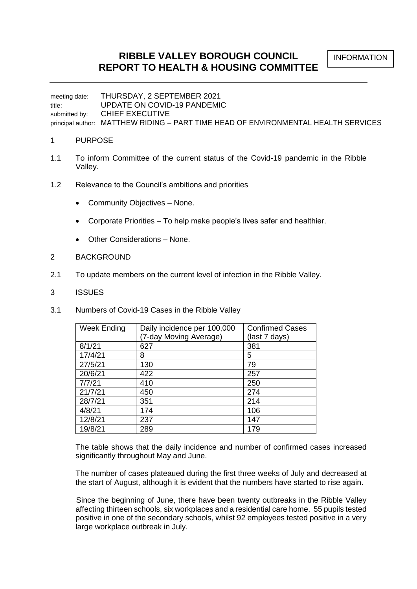INFORMATION

# **RIBBLE VALLEY BOROUGH COUNCIL REPORT TO HEALTH & HOUSING COMMITTEE**

meeting date: THURSDAY, 2 SEPTEMBER 2021 title: UPDATE ON COVID-19 PANDEMIC submitted by: CHIEF EXECUTIVE principal author: MATTHEW RIDING – PART TIME HEAD OF ENVIRONMENTAL HEALTH SERVICES

## 1 PURPOSE

- 1.1 To inform Committee of the current status of the Covid-19 pandemic in the Ribble Valley.
- 1.2 Relevance to the Council's ambitions and priorities
	- Community Objectives None.
	- Corporate Priorities To help make people's lives safer and healthier.
	- Other Considerations None.
- 2 BACKGROUND
- 2.1 To update members on the current level of infection in the Ribble Valley.
- 3 ISSUES
- 3.1 Numbers of Covid-19 Cases in the Ribble Valley

| <b>Week Ending</b> | Daily incidence per 100,000 | <b>Confirmed Cases</b> |  |  |  |
|--------------------|-----------------------------|------------------------|--|--|--|
|                    | (7-day Moving Average)      | (last 7 days)          |  |  |  |
| 8/1/21             | 627                         | 381                    |  |  |  |
| 17/4/21            | 8                           | 5                      |  |  |  |
| 27/5/21            | 130                         | 79                     |  |  |  |
| 20/6/21            | 422                         | 257                    |  |  |  |
| 7/7/21             | 410                         | 250                    |  |  |  |
| 21/7/21            | 450                         | 274                    |  |  |  |
| 28/7/21            | 351                         | 214                    |  |  |  |
| 4/8/21             | 174                         | 106                    |  |  |  |
| 12/8/21            | 237                         | 147                    |  |  |  |
| 19/8/21            | 289                         | 179                    |  |  |  |

The table shows that the daily incidence and number of confirmed cases increased significantly throughout May and June.

 The number of cases plateaued during the first three weeks of July and decreased at the start of August, although it is evident that the numbers have started to rise again.

 Since the beginning of June, there have been twenty outbreaks in the Ribble Valley affecting thirteen schools, six workplaces and a residential care home. 55 pupils tested positive in one of the secondary schools, whilst 92 employees tested positive in a very large workplace outbreak in July.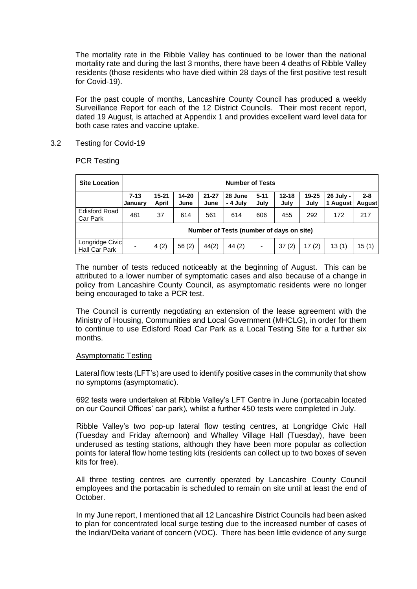The mortality rate in the Ribble Valley has continued to be lower than the national mortality rate and during the last 3 months, there have been 4 deaths of Ribble Valley residents (those residents who have died within 28 days of the first positive test result for Covid-19).

 For the past couple of months, Lancashire County Council has produced a weekly Surveillance Report for each of the 12 District Councils. Their most recent report, dated 19 August, is attached at Appendix 1 and provides excellent ward level data for both case rates and vaccine uptake.

# 3.2 Testing for Covid-19

PCR Testing

| <b>Site Location</b>             | <b>Number of Tests</b>                                                                                                                                                                         |      |       |       |        |     |       |       |       |                          |  |  |
|----------------------------------|------------------------------------------------------------------------------------------------------------------------------------------------------------------------------------------------|------|-------|-------|--------|-----|-------|-------|-------|--------------------------|--|--|
|                                  | $21 - 27$<br>$15 - 21$<br>$14 - 20$<br>$12 - 18$<br>19-25<br>28 June<br>$5 - 11$<br>26 July -<br>$7 - 13$<br>July<br>- 4 July<br>July<br>July<br>April<br>1 August<br>June<br>June<br> January |      |       |       |        |     |       |       |       | $2 - 8$<br><b>August</b> |  |  |
| <b>Edisford Road</b><br>Car Park | 481                                                                                                                                                                                            | 37   | 614   | 561   | 614    | 606 | 455   | 292   | 172   | 217                      |  |  |
|                                  | Number of Tests (number of days on site)                                                                                                                                                       |      |       |       |        |     |       |       |       |                          |  |  |
| Longridge Civic<br>Hall Car Park |                                                                                                                                                                                                | 4(2) | 56(2) | 44(2) | 44 (2) |     | 37(2) | 17(2) | 13(1) | 15(1)                    |  |  |

The number of tests reduced noticeably at the beginning of August. This can be attributed to a lower number of symptomatic cases and also because of a change in policy from Lancashire County Council, as asymptomatic residents were no longer being encouraged to take a PCR test.

 The Council is currently negotiating an extension of the lease agreement with the Ministry of Housing, Communities and Local Government (MHCLG), in order for them to continue to use Edisford Road Car Park as a Local Testing Site for a further six months.

## Asymptomatic Testing

Lateral flow tests (LFT's) are used to identify positive cases in the community that show no symptoms (asymptomatic).

 692 tests were undertaken at Ribble Valley's LFT Centre in June (portacabin located on our Council Offices' car park), whilst a further 450 tests were completed in July.

 Ribble Valley's two pop-up lateral flow testing centres, at Longridge Civic Hall (Tuesday and Friday afternoon) and Whalley Village Hall (Tuesday), have been underused as testing stations, although they have been more popular as collection points for lateral flow home testing kits (residents can collect up to two boxes of seven kits for free).

 All three testing centres are currently operated by Lancashire County Council employees and the portacabin is scheduled to remain on site until at least the end of October.

 In my June report, I mentioned that all 12 Lancashire District Councils had been asked to plan for concentrated local surge testing due to the increased number of cases of the Indian/Delta variant of concern (VOC). There has been little evidence of any surge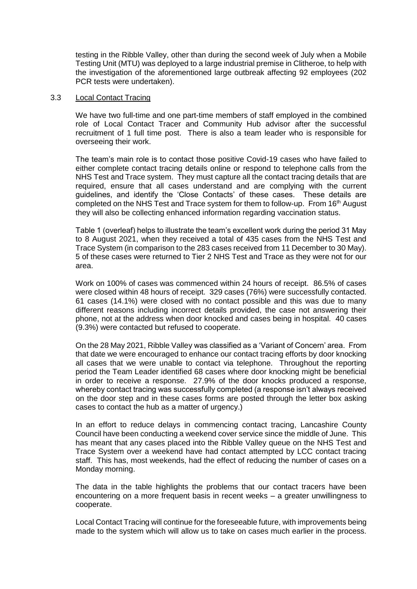testing in the Ribble Valley, other than during the second week of July when a Mobile Testing Unit (MTU) was deployed to a large industrial premise in Clitheroe, to help with the investigation of the aforementioned large outbreak affecting 92 employees (202 PCR tests were undertaken).

#### 3.3 Local Contact Tracing

We have two full-time and one part-time members of staff employed in the combined role of Local Contact Tracer and Community Hub advisor after the successful recruitment of 1 full time post. There is also a team leader who is responsible for overseeing their work.

The team's main role is to contact those positive Covid-19 cases who have failed to either complete contact tracing details online or respond to telephone calls from the NHS Test and Trace system. They must capture all the contact tracing details that are required, ensure that all cases understand and are complying with the current guidelines, and identify the 'Close Contacts' of these cases. These details are completed on the NHS Test and Trace system for them to follow-up. From 16<sup>th</sup> August they will also be collecting enhanced information regarding vaccination status.

Table 1 (overleaf) helps to illustrate the team's excellent work during the period 31 May to 8 August 2021, when they received a total of 435 cases from the NHS Test and Trace System (in comparison to the 283 cases received from 11 December to 30 May). 5 of these cases were returned to Tier 2 NHS Test and Trace as they were not for our area.

Work on 100% of cases was commenced within 24 hours of receipt. 86.5% of cases were closed within 48 hours of receipt. 329 cases (76%) were successfully contacted. 61 cases (14.1%) were closed with no contact possible and this was due to many different reasons including incorrect details provided, the case not answering their phone, not at the address when door knocked and cases being in hospital. 40 cases (9.3%) were contacted but refused to cooperate.

On the 28 May 2021, Ribble Valley was classified as a 'Variant of Concern' area. From that date we were encouraged to enhance our contact tracing efforts by door knocking all cases that we were unable to contact via telephone. Throughout the reporting period the Team Leader identified 68 cases where door knocking might be beneficial in order to receive a response. 27.9% of the door knocks produced a response, whereby contact tracing was successfully completed (a response isn't always received on the door step and in these cases forms are posted through the letter box asking cases to contact the hub as a matter of urgency.)

In an effort to reduce delays in commencing contact tracing, Lancashire County Council have been conducting a weekend cover service since the middle of June. This has meant that any cases placed into the Ribble Valley queue on the NHS Test and Trace System over a weekend have had contact attempted by LCC contact tracing staff. This has, most weekends, had the effect of reducing the number of cases on a Monday morning.

The data in the table highlights the problems that our contact tracers have been encountering on a more frequent basis in recent weeks – a greater unwillingness to cooperate.

Local Contact Tracing will continue for the foreseeable future, with improvements being made to the system which will allow us to take on cases much earlier in the process.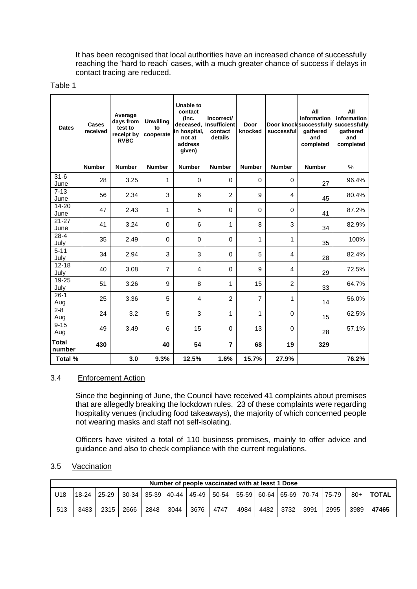It has been recognised that local authorities have an increased chance of successfully reaching the 'hard to reach' cases, with a much greater chance of success if delays in contact tracing are reduced.

#### Table 1

| <b>Dates</b>           | <b>Cases</b><br>received | Average<br>days from<br>test to<br>receipt by<br><b>RVBC</b> | <b>Unwilling</b><br>to<br>cooperate | <b>Unable to</b><br>contact<br>(inc.<br>deceased,<br>in hospital,<br>not at<br>address<br>given) | Incorrect/<br>Insufficient<br>contact<br>details | Door<br>knocked | successful     | All<br>information<br>Door knocksuccessfully<br>gathered<br>and<br>completed | All<br>information<br>successfully<br>gathered<br>and<br>completed |
|------------------------|--------------------------|--------------------------------------------------------------|-------------------------------------|--------------------------------------------------------------------------------------------------|--------------------------------------------------|-----------------|----------------|------------------------------------------------------------------------------|--------------------------------------------------------------------|
|                        | <b>Number</b>            | <b>Number</b>                                                | <b>Number</b>                       | <b>Number</b>                                                                                    | <b>Number</b>                                    | <b>Number</b>   | <b>Number</b>  | <b>Number</b>                                                                | $\%$                                                               |
| $31 - 6$<br>June       | 28                       | 3.25                                                         | 1                                   | $\mathbf 0$                                                                                      | $\mathbf 0$                                      | $\mathbf 0$     | $\mathbf 0$    | 27                                                                           | 96.4%                                                              |
| $7 - 13$<br>June       | 56                       | 2.34                                                         | 3                                   | 6                                                                                                | $\overline{2}$                                   | 9               | 4              | 45                                                                           | 80.4%                                                              |
| 14-20<br>June          | 47                       | 2.43                                                         | 1                                   | 5                                                                                                | 0                                                | $\mathbf 0$     | $\mathbf 0$    | 41                                                                           | 87.2%                                                              |
| $21 - 27$<br>June      | 41                       | 3.24                                                         | $\mathbf 0$                         | 6                                                                                                | 1                                                | 8               | 3              | 34                                                                           | 82.9%                                                              |
| $28 - 4$<br>July       | 35                       | 2.49                                                         | $\Omega$                            | $\Omega$                                                                                         | 0                                                | 1               | 1              | 35                                                                           | 100%                                                               |
| $5 - 11$<br>July       | 34                       | 2.94                                                         | 3                                   | 3                                                                                                | 0                                                | 5               | 4              | 28                                                                           | 82.4%                                                              |
| $12 - 18$<br>July      | 40                       | 3.08                                                         | $\overline{7}$                      | 4                                                                                                | 0                                                | 9               | 4              | 29                                                                           | 72.5%                                                              |
| 19-25<br>July          | 51                       | 3.26                                                         | 9                                   | 8                                                                                                | 1                                                | 15              | $\overline{2}$ | 33                                                                           | 64.7%                                                              |
| $26-1$<br>Aug          | 25                       | 3.36                                                         | 5                                   | $\overline{4}$                                                                                   | $\overline{2}$                                   | $\overline{7}$  | 1              | 14                                                                           | 56.0%                                                              |
| $2 - 8$<br>Aug         | 24                       | 3.2                                                          | 5                                   | 3                                                                                                | 1                                                | 1               | $\mathbf 0$    | 15                                                                           | 62.5%                                                              |
| $9 - 15$<br>Aug        | 49                       | 3.49                                                         | 6                                   | 15                                                                                               | $\Omega$                                         | 13              | $\Omega$       | 28                                                                           | 57.1%                                                              |
| <b>Total</b><br>number | 430                      |                                                              | 40                                  | 54                                                                                               | $\overline{7}$                                   | 68              | 19             | 329                                                                          |                                                                    |
| Total %                |                          | 3.0                                                          | 9.3%                                | 12.5%                                                                                            | 1.6%                                             | 15.7%           | 27.9%          |                                                                              | 76.2%                                                              |

## 3.4 Enforcement Action

Since the beginning of June, the Council have received 41 complaints about premises that are allegedly breaking the lockdown rules. 23 of these complaints were regarding hospitality venues (including food takeaways), the majority of which concerned people not wearing masks and staff not self-isolating.

Officers have visited a total of 110 business premises, mainly to offer advice and guidance and also to check compliance with the current regulations.

# 3.5 Vaccination

|     | Number of people vaccinated with at least 1 Dose |               |      |      |      |      |      |                                                             |  |           |      |      |       |                |
|-----|--------------------------------------------------|---------------|------|------|------|------|------|-------------------------------------------------------------|--|-----------|------|------|-------|----------------|
| U18 |                                                  | $18-24$ 25-29 |      |      |      |      |      | 30-34 35-39 40-44 45-49 50-54 55-59 60-64 65-69 70-74 75-79 |  |           |      |      | $80+$ | <b>I TOTAL</b> |
| 513 | 3483                                             | 2315 l        | 2666 | 2848 | 3044 | 3676 | 4747 | 4984                                                        |  | 4482 3732 | 3991 | 2995 | 3989  | 47465          |